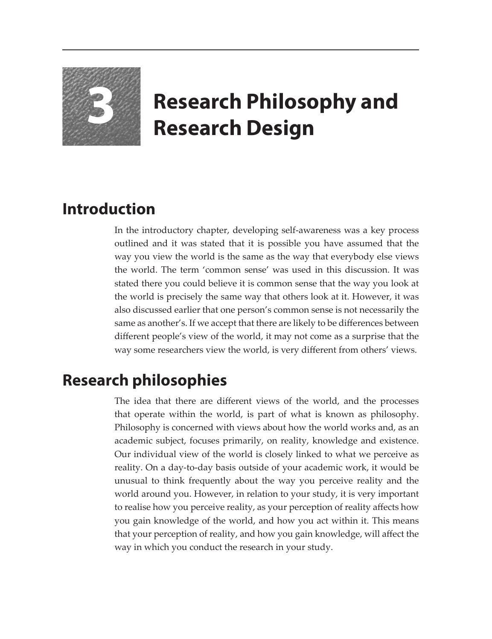

# **3 Research Philosophy and Research Design**

## **Introduction**

In the introductory chapter, developing self-awareness was a key process outlined and it was stated that it is possible you have assumed that the way you view the world is the same as the way that everybody else views the world. The term 'common sense' was used in this discussion. It was stated there you could believe it is common sense that the way you look at the world is precisely the same way that others look at it. However, it was also discussed earlier that one person's common sense is not necessarily the same as another's. If we accept that there are likely to be differences between different people's view of the world, it may not come as a surprise that the way some researchers view the world, is very different from others' views.

## **Research philosophies**

The idea that there are different views of the world, and the processes that operate within the world, is part of what is known as philosophy. Philosophy is concerned with views about how the world works and, as an academic subject, focuses primarily, on reality, knowledge and existence. Our individual view of the world is closely linked to what we perceive as reality. On a day-to-day basis outside of your academic work, it would be unusual to think frequently about the way you perceive reality and the world around you. However, in relation to your study, it is very important to realise how you perceive reality, as your perception of reality affects how you gain knowledge of the world, and how you act within it. This means that your perception of reality, and how you gain knowledge, will affect the way in which you conduct the research in your study.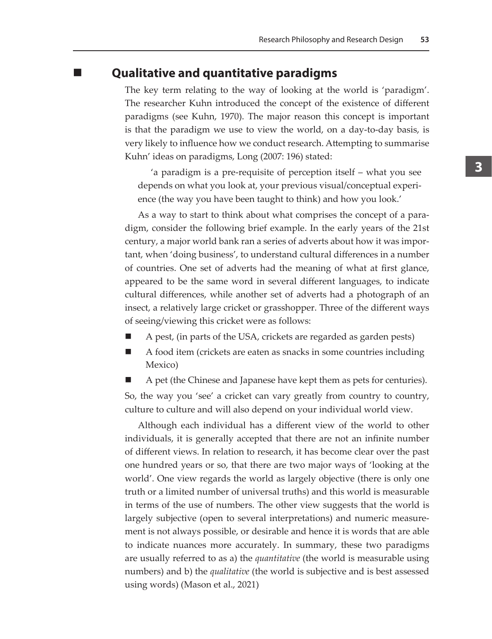#### **Qualitative and quantitative paradigms**

The key term relating to the way of looking at the world is 'paradigm'. The researcher Kuhn introduced the concept of the existence of different paradigms (see Kuhn, 1970). The major reason this concept is important is that the paradigm we use to view the world, on a day-to-day basis, is very likely to influence how we conduct research. Attempting to summarise Kuhn' ideas on paradigms, Long (2007: 196) stated:

'a paradigm is a pre-requisite of perception itself – what you see depends on what you look at, your previous visual/conceptual experience (the way you have been taught to think) and how you look.'

As a way to start to think about what comprises the concept of a paradigm, consider the following brief example. In the early years of the 21st century, a major world bank ran a series of adverts about how it was important, when 'doing business', to understand cultural differences in a number of countries. One set of adverts had the meaning of what at first glance, appeared to be the same word in several different languages, to indicate cultural differences, while another set of adverts had a photograph of an insect, a relatively large cricket or grasshopper. Three of the different ways of seeing/viewing this cricket were as follows:

- A pest, (in parts of the USA, crickets are regarded as garden pests)
- A food item (crickets are eaten as snacks in some countries including Mexico)
- A pet (the Chinese and Japanese have kept them as pets for centuries).

So, the way you 'see' a cricket can vary greatly from country to country, culture to culture and will also depend on your individual world view.

Although each individual has a different view of the world to other individuals, it is generally accepted that there are not an infinite number of different views. In relation to research, it has become clear over the past one hundred years or so, that there are two major ways of 'looking at the world'. One view regards the world as largely objective (there is only one truth or a limited number of universal truths) and this world is measurable in terms of the use of numbers. The other view suggests that the world is largely subjective (open to several interpretations) and numeric measurement is not always possible, or desirable and hence it is words that are able to indicate nuances more accurately. In summary, these two paradigms are usually referred to as a) the *quantitative* (the world is measurable using numbers) and b) the *qualitative* (the world is subjective and is best assessed using words) (Mason et al., 2021)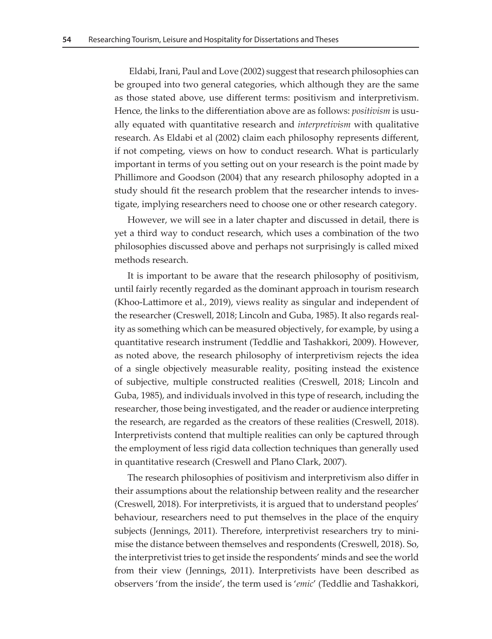Eldabi, Irani, Paul and Love (2002) suggest that research philosophies can be grouped into two general categories, which although they are the same as those stated above, use different terms: positivism and interpretivism. Hence, the links to the differentiation above are as follows: *positivism* is usually equated with quantitative research and *interpretivism* with qualitative research. As Eldabi et al (2002) claim each philosophy represents different, if not competing, views on how to conduct research. What is particularly important in terms of you setting out on your research is the point made by Phillimore and Goodson (2004) that any research philosophy adopted in a study should fit the research problem that the researcher intends to investigate, implying researchers need to choose one or other research category.

However, we will see in a later chapter and discussed in detail, there is yet a third way to conduct research, which uses a combination of the two philosophies discussed above and perhaps not surprisingly is called mixed methods research.

It is important to be aware that the research philosophy of positivism, until fairly recently regarded as the dominant approach in tourism research (Khoo-Lattimore et al., 2019), views reality as singular and independent of the researcher (Creswell, 2018; Lincoln and Guba, 1985). It also regards reality as something which can be measured objectively, for example, by using a quantitative research instrument (Teddlie and Tashakkori, 2009). However, as noted above, the research philosophy of interpretivism rejects the idea of a single objectively measurable reality, positing instead the existence of subjective, multiple constructed realities (Creswell, 2018; Lincoln and Guba, 1985), and individuals involved in this type of research, including the researcher, those being investigated, and the reader or audience interpreting the research, are regarded as the creators of these realities (Creswell, 2018). Interpretivists contend that multiple realities can only be captured through the employment of less rigid data collection techniques than generally used in quantitative research (Creswell and Plano Clark, 2007).

The research philosophies of positivism and interpretivism also differ in their assumptions about the relationship between reality and the researcher (Creswell, 2018). For interpretivists, it is argued that to understand peoples' behaviour, researchers need to put themselves in the place of the enquiry subjects (Jennings, 2011). Therefore, interpretivist researchers try to minimise the distance between themselves and respondents (Creswell, 2018). So, the interpretivist tries to get inside the respondents' minds and see the world from their view (Jennings, 2011). Interpretivists have been described as observers 'from the inside', the term used is '*emic*' (Teddlie and Tashakkori,